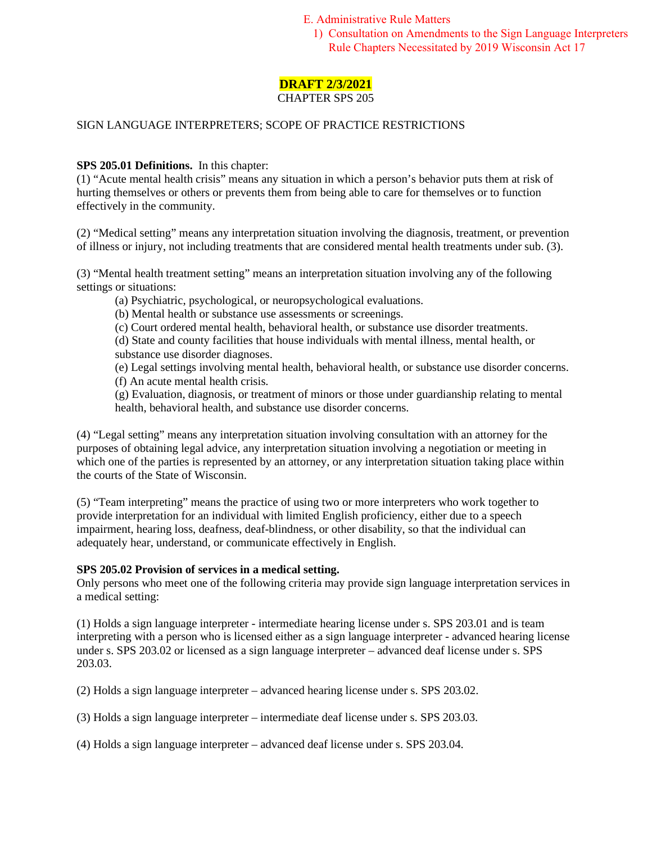E. Administrative Rule Matters

1) Consultation on Amendments to the Sign Language Interpreters Rule Chapters Necessitated by 2019 Wisconsin Act 17

# **DRAFT 2/3/2021**

# CHAPTER SPS 205

# SIGN LANGUAGE INTERPRETERS; SCOPE OF PRACTICE RESTRICTIONS

#### **SPS 205.01 Definitions.** In this chapter:

(1) "Acute mental health crisis" means any situation in which a person's behavior puts them at risk of hurting themselves or others or prevents them from being able to care for themselves or to function effectively in the community.

(2) "Medical setting" means any interpretation situation involving the diagnosis, treatment, or prevention of illness or injury, not including treatments that are considered mental health treatments under sub. (3).

(3) "Mental health treatment setting" means an interpretation situation involving any of the following settings or situations:

(a) Psychiatric, psychological, or neuropsychological evaluations.

(b) Mental health or substance use assessments or screenings.

(c) Court ordered mental health, behavioral health, or substance use disorder treatments.

(d) State and county facilities that house individuals with mental illness, mental health, or substance use disorder diagnoses.

(e) Legal settings involving mental health, behavioral health, or substance use disorder concerns. (f) An acute mental health crisis.

(g) Evaluation, diagnosis, or treatment of minors or those under guardianship relating to mental health, behavioral health, and substance use disorder concerns.

(4) "Legal setting" means any interpretation situation involving consultation with an attorney for the purposes of obtaining legal advice, any interpretation situation involving a negotiation or meeting in which one of the parties is represented by an attorney, or any interpretation situation taking place within the courts of the State of Wisconsin.

(5) "Team interpreting" means the practice of using two or more interpreters who work together to provide interpretation for an individual with limited English proficiency, either due to a speech impairment, hearing loss, deafness, deaf-blindness, or other disability, so that the individual can adequately hear, understand, or communicate effectively in English.

#### **SPS 205.02 Provision of services in a medical setting.**

Only persons who meet one of the following criteria may provide sign language interpretation services in a medical setting:

(1) Holds a sign language interpreter - intermediate hearing license under s. SPS 203.01 and is team interpreting with a person who is licensed either as a sign language interpreter - advanced hearing license under s. SPS 203.02 or licensed as a sign language interpreter – advanced deaf license under s. SPS 203.03.

(2) Holds a sign language interpreter – advanced hearing license under s. SPS 203.02.

(3) Holds a sign language interpreter – intermediate deaf license under s. SPS 203.03.

(4) Holds a sign language interpreter – advanced deaf license under s. SPS 203.04.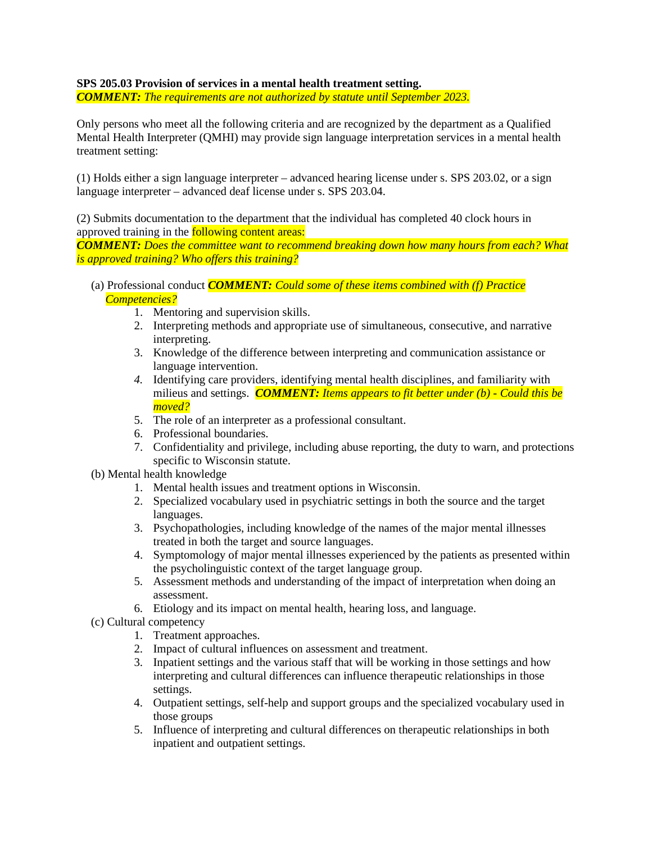# **SPS 205.03 Provision of services in a mental health treatment setting.**

*COMMENT: The requirements are not authorized by statute until September 2023.*

Only persons who meet all the following criteria and are recognized by the department as a Qualified Mental Health Interpreter (QMHI) may provide sign language interpretation services in a mental health treatment setting:

(1) Holds either a sign language interpreter – advanced hearing license under s. SPS 203.02, or a sign language interpreter – advanced deaf license under s. SPS 203.04.

(2) Submits documentation to the department that the individual has completed 40 clock hours in approved training in the **following content areas:** 

*COMMENT: Does the committee want to recommend breaking down how many hours from each? What is approved training? Who offers this training?*

- (a) Professional conduct *COMMENT: Could some of these items combined with (f) Practice Competencies?*
	- 1. Mentoring and supervision skills.
	- 2. Interpreting methods and appropriate use of simultaneous, consecutive, and narrative interpreting.
	- 3. Knowledge of the difference between interpreting and communication assistance or language intervention.
	- *4.* Identifying care providers, identifying mental health disciplines, and familiarity with milieus and settings. *COMMENT: Items appears to fit better under (b) - Could this be moved?*
	- 5. The role of an interpreter as a professional consultant.
	- 6. Professional boundaries.
	- 7. Confidentiality and privilege, including abuse reporting, the duty to warn, and protections specific to Wisconsin statute.
- (b) Mental health knowledge
	- 1. Mental health issues and treatment options in Wisconsin.
	- 2. Specialized vocabulary used in psychiatric settings in both the source and the target languages.
	- 3. Psychopathologies, including knowledge of the names of the major mental illnesses treated in both the target and source languages.
	- 4. Symptomology of major mental illnesses experienced by the patients as presented within the psycholinguistic context of the target language group.
	- 5. Assessment methods and understanding of the impact of interpretation when doing an assessment.
	- 6. Etiology and its impact on mental health, hearing loss, and language.
- (c) Cultural competency
	- 1. Treatment approaches.
	- 2. Impact of cultural influences on assessment and treatment.
	- 3. Inpatient settings and the various staff that will be working in those settings and how interpreting and cultural differences can influence therapeutic relationships in those settings.
	- 4. Outpatient settings, self-help and support groups and the specialized vocabulary used in those groups
	- 5. Influence of interpreting and cultural differences on therapeutic relationships in both inpatient and outpatient settings.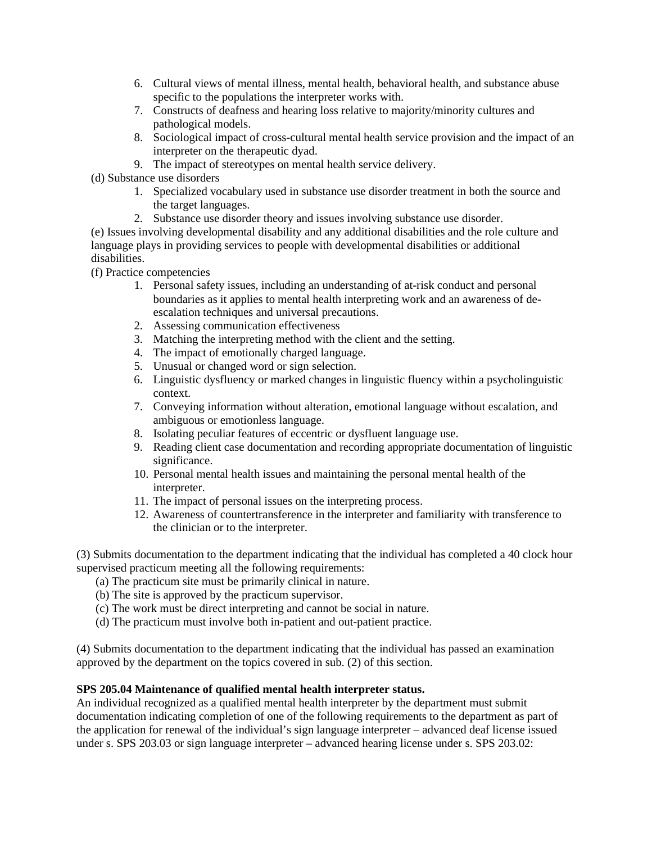- 6. Cultural views of mental illness, mental health, behavioral health, and substance abuse specific to the populations the interpreter works with.
- 7. Constructs of deafness and hearing loss relative to majority/minority cultures and pathological models.
- 8. Sociological impact of cross-cultural mental health service provision and the impact of an interpreter on the therapeutic dyad.
- 9. The impact of stereotypes on mental health service delivery.

(d) Substance use disorders

- 1. Specialized vocabulary used in substance use disorder treatment in both the source and the target languages.
- 2. Substance use disorder theory and issues involving substance use disorder.

(e) Issues involving developmental disability and any additional disabilities and the role culture and language plays in providing services to people with developmental disabilities or additional disabilities.

(f) Practice competencies

- 1. Personal safety issues, including an understanding of at-risk conduct and personal boundaries as it applies to mental health interpreting work and an awareness of deescalation techniques and universal precautions.
- 2. Assessing communication effectiveness
- 3. Matching the interpreting method with the client and the setting.
- 4. The impact of emotionally charged language.
- 5. Unusual or changed word or sign selection.
- 6. Linguistic dysfluency or marked changes in linguistic fluency within a psycholinguistic context.
- 7. Conveying information without alteration, emotional language without escalation, and ambiguous or emotionless language.
- 8. Isolating peculiar features of eccentric or dysfluent language use.
- 9. Reading client case documentation and recording appropriate documentation of linguistic significance.
- 10. Personal mental health issues and maintaining the personal mental health of the interpreter.
- 11. The impact of personal issues on the interpreting process.
- 12. Awareness of countertransference in the interpreter and familiarity with transference to the clinician or to the interpreter.

(3) Submits documentation to the department indicating that the individual has completed a 40 clock hour supervised practicum meeting all the following requirements:

- (a) The practicum site must be primarily clinical in nature.
- (b) The site is approved by the practicum supervisor.
- (c) The work must be direct interpreting and cannot be social in nature.
- (d) The practicum must involve both in-patient and out-patient practice.

(4) Submits documentation to the department indicating that the individual has passed an examination approved by the department on the topics covered in sub. (2) of this section.

## **SPS 205.04 Maintenance of qualified mental health interpreter status.**

An individual recognized as a qualified mental health interpreter by the department must submit documentation indicating completion of one of the following requirements to the department as part of the application for renewal of the individual's sign language interpreter – advanced deaf license issued under s. SPS 203.03 or sign language interpreter – advanced hearing license under s. SPS 203.02: